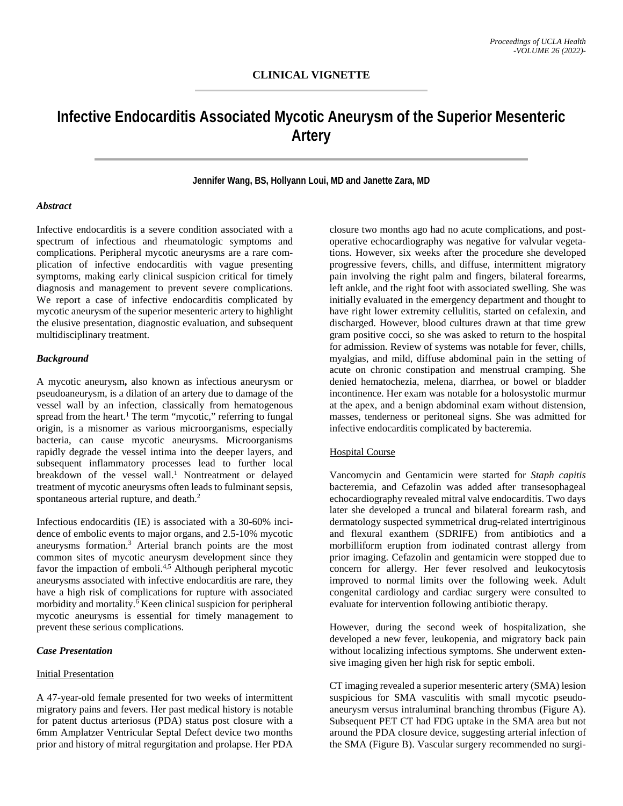# **Infective Endocarditis Associated Mycotic Aneurysm of the Superior Mesenteric Artery**

## **Jennifer Wang, BS, Hollyann Loui, MD and Janette Zara, MD**

#### *Abstract*

Infective endocarditis is a severe condition associated with a spectrum of infectious and rheumatologic symptoms and complications. Peripheral mycotic aneurysms are a rare complication of infective endocarditis with vague presenting symptoms, making early clinical suspicion critical for timely diagnosis and management to prevent severe complications. We report a case of infective endocarditis complicated by mycotic aneurysm of the superior mesenteric artery to highlight the elusive presentation, diagnostic evaluation, and subsequent multidisciplinary treatment.

## *Background*

A mycotic aneurysm**,** also known as infectious aneurysm or pseudoaneurysm, is a dilation of an artery due to damage of the vessel wall by an infection, classically from hematogenous spread from the heart.<sup>1</sup> The term "mycotic," referring to fungal origin, is a misnomer as various microorganisms, especially bacteria, can cause mycotic aneurysms. Microorganisms rapidly degrade the vessel intima into the deeper layers, and subsequent inflammatory processes lead to further local breakdown of the vessel wall.<sup>1</sup> Nontreatment or delayed treatment of mycotic aneurysms often leads to fulminant sepsis, spontaneous arterial rupture, and death.<sup>2</sup>

Infectious endocarditis (IE) is associated with a 30-60% incidence of embolic events to major organs, and 2.5-10% mycotic aneurysms formation[.3](https://www.zotero.org/google-docs/?FrZquv) Arterial branch points are the most common sites of mycotic aneurysm development since they favor the impaction of emboli[.4,5](https://www.zotero.org/google-docs/?N9ytuM) Although peripheral mycotic aneurysms associated with infective endocarditis are rare, they have a high risk of complications for rupture with associated morbidity and mortality. $\overline{6}$  Keen clinical suspicion for peripheral mycotic aneurysms is essential for timely management to prevent these serious complications.

## *Case Presentation*

## Initial Presentation

A 47-year-old female presented for two weeks of intermittent migratory pains and fevers. Her past medical history is notable for patent ductus arteriosus (PDA) status post closure with a 6mm Amplatzer Ventricular Septal Defect device two months prior and history of mitral regurgitation and prolapse. Her PDA

closure two months ago had no acute complications, and postoperative echocardiography was negative for valvular vegetations. However, six weeks after the procedure she developed progressive fevers, chills, and diffuse, intermittent migratory pain involving the right palm and fingers, bilateral forearms, left ankle, and the right foot with associated swelling. She was initially evaluated in the emergency department and thought to have right lower extremity cellulitis, started on cefalexin, and discharged. However, blood cultures drawn at that time grew gram positive cocci, so she was asked to return to the hospital for admission. Review of systems was notable for fever, chills, myalgias, and mild, diffuse abdominal pain in the setting of acute on chronic constipation and menstrual cramping. She denied hematochezia, melena, diarrhea, or bowel or bladder incontinence. Her exam was notable for a holosystolic murmur at the apex, and a benign abdominal exam without distension, masses, tenderness or peritoneal signs. She was admitted for infective endocarditis complicated by bacteremia.

## Hospital Course

Vancomycin and Gentamicin were started for *Staph capitis* bacteremia, and Cefazolin was added after transesophageal echocardiography revealed mitral valve endocarditis. Two days later she developed a truncal and bilateral forearm rash, and dermatology suspected symmetrical drug-related intertriginous and flexural exanthem (SDRIFE) from antibiotics and a morbilliform eruption from iodinated contrast allergy from prior imaging. Cefazolin and gentamicin were stopped due to concern for allergy. Her fever resolved and leukocytosis improved to normal limits over the following week. Adult congenital cardiology and cardiac surgery were consulted to evaluate for intervention following antibiotic therapy.

However, during the second week of hospitalization, she developed a new fever, leukopenia, and migratory back pain without localizing infectious symptoms. She underwent extensive imaging given her high risk for septic emboli.

CT imaging revealed a superior mesenteric artery (SMA) lesion suspicious for SMA vasculitis with small mycotic pseudoaneurysm versus intraluminal branching thrombus (Figure A). Subsequent PET CT had FDG uptake in the SMA area but not around the PDA closure device, suggesting arterial infection of the SMA (Figure B). Vascular surgery recommended no surgi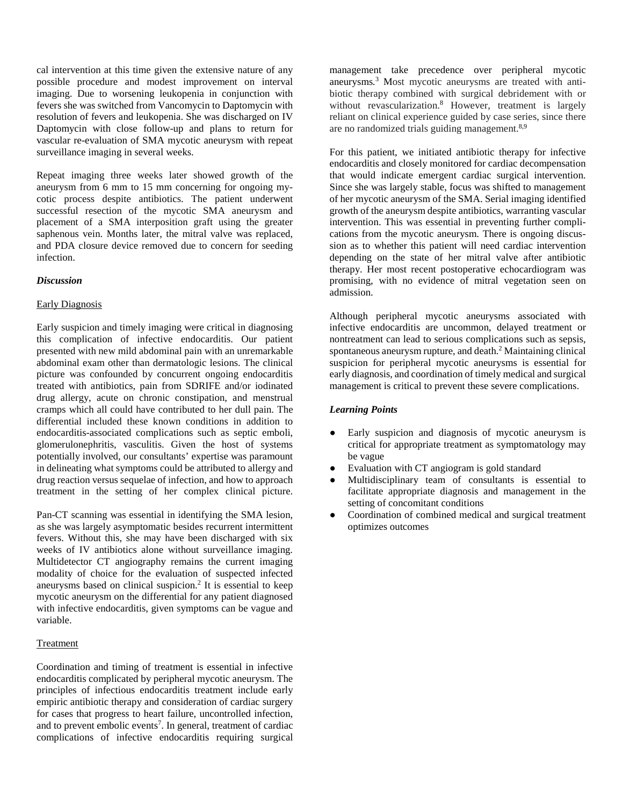cal intervention at this time given the extensive nature of any possible procedure and modest improvement on interval imaging. Due to worsening leukopenia in conjunction with fevers she was switched from Vancomycin to Daptomycin with resolution of fevers and leukopenia. She was discharged on IV Daptomycin with close follow-up and plans to return for vascular re-evaluation of SMA mycotic aneurysm with repeat surveillance imaging in several weeks.

Repeat imaging three weeks later showed growth of the aneurysm from 6 mm to 15 mm concerning for ongoing mycotic process despite antibiotics. The patient underwent successful resection of the mycotic SMA aneurysm and placement of a SMA interposition graft using the greater saphenous vein. Months later, the mitral valve was replaced, and PDA closure device removed due to concern for seeding infection.

## *Discussion*

#### Early Diagnosis

Early suspicion and timely imaging were critical in diagnosing this complication of infective endocarditis. Our patient presented with new mild abdominal pain with an unremarkable abdominal exam other than dermatologic lesions. The clinical picture was confounded by concurrent ongoing endocarditis treated with antibiotics, pain from SDRIFE and/or iodinated drug allergy, acute on chronic constipation, and menstrual cramps which all could have contributed to her dull pain. The differential included these known conditions in addition to endocarditis-associated complications such as septic emboli, glomerulonephritis, vasculitis. Given the host of systems potentially involved, our consultants' expertise was paramount in delineating what symptoms could be attributed to allergy and drug reaction versus sequelae of infection, and how to approach treatment in the setting of her complex clinical picture.

Pan-CT scanning was essential in identifying the SMA lesion, as she was largely asymptomatic besides recurrent intermittent fevers. Without this, she may have been discharged with six weeks of IV antibiotics alone without surveillance imaging. Multidetector CT angiography remains the current imaging modality of choice for the evaluation of suspected infected aneurysms based on clinical suspicion[.2](https://www.zotero.org/google-docs/?VS2Re2) It is essential to keep mycotic aneurysm on the differential for any patient diagnosed with infective endocarditis, given symptoms can be vague and variable.

## **Treatment**

Coordination and timing of treatment is essential in infective endocarditis complicated by peripheral mycotic aneurysm. The principles of infectious endocarditis treatment include early empiric antibiotic therapy and consideration of cardiac surgery for cases that progress to heart failure, uncontrolled infection, and to prevent embolic events<sup>7</sup>. In general, treatment of cardiac complications of infective endocarditis requiring surgical

management take precedence over peripheral mycotic aneurysms*.* [3](https://www.zotero.org/google-docs/?d6dh2J) Most mycotic aneurysms are treated with antibiotic therapy combined with surgical debridement with or without revascularization.<sup>8</sup> However, treatment is largely reliant on clinical experience guided by case series, since there are no randomized trials guiding management.<sup>8,9</sup>

For this patient, we initiated antibiotic therapy for infective endocarditis and closely monitored for cardiac decompensation that would indicate emergent cardiac surgical intervention. Since she was largely stable, focus was shifted to management of her mycotic aneurysm of the SMA. Serial imaging identified growth of the aneurysm despite antibiotics, warranting vascular intervention. This was essential in preventing further complications from the mycotic aneurysm. There is ongoing discussion as to whether this patient will need cardiac intervention depending on the state of her mitral valve after antibiotic therapy. Her most recent postoperative echocardiogram was promising, with no evidence of mitral vegetation seen on admission.

Although peripheral mycotic aneurysms associated with infective endocarditis are uncommon, delayed treatment or nontreatment can lead to serious complications such as sepsis, spontaneous aneurysm rupture, and death[.2](https://www.zotero.org/google-docs/?On3XhM) Maintaining clinical suspicion for peripheral mycotic aneurysms is essential for early diagnosis, and coordination of timely medical and surgical management is critical to prevent these severe complications.

## *Learning Points*

- Early suspicion and diagnosis of mycotic aneurysm is critical for appropriate treatment as symptomatology may be vague
- Evaluation with CT angiogram is gold standard
- Multidisciplinary team of consultants is essential to facilitate appropriate diagnosis and management in the setting of concomitant conditions
- Coordination of combined medical and surgical treatment optimizes outcomes